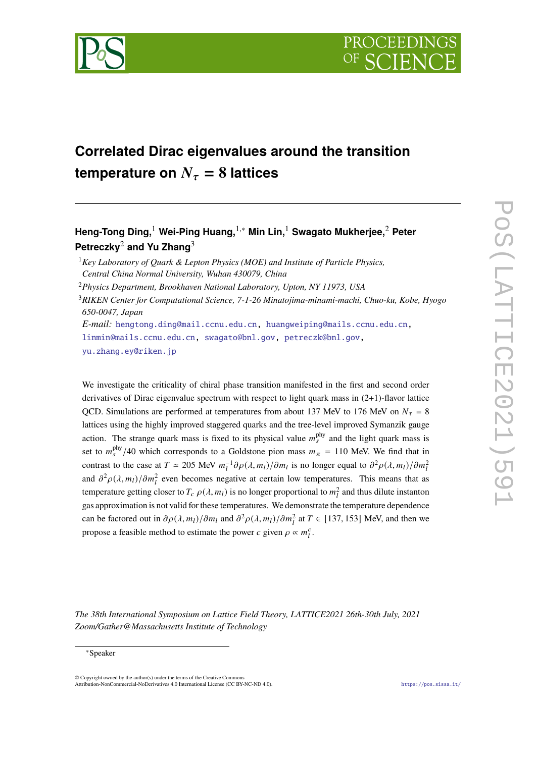

# **Correlated Dirac eigenvalues around the transition temperature on**  $N_\tau = 8$  **lattices**

**Heng-Tong Ding,**<sup>1</sup> **Wei-Ping Huang,**1,<sup>∗</sup> **Min Lin,**<sup>1</sup> **Swagato Mukherjee,**<sup>2</sup> **Peter Petreczky**<sup>2</sup> **and Yu Zhang**<sup>3</sup>

<sup>1</sup>*Key Laboratory of Quark & Lepton Physics (MOE) and Institute of Particle Physics, Central China Normal University, Wuhan 430079, China*

<sup>2</sup>*Physics Department, Brookhaven National Laboratory, Upton, NY 11973, USA*

<sup>3</sup>*RIKEN Center for Computational Science, 7-1-26 Minatojima-minami-machi, Chuo-ku, Kobe, Hyogo 650-0047, Japan E-mail:* [hengtong.ding@mail.ccnu.edu.cn,](mailto:hengtong.ding@mail.ccnu.edu.cn) [huangweiping@mails.ccnu.edu.cn,](mailto:huangweiping@mails.ccnu.edu.cn)

[linmin@mails.ccnu.edu.cn,](mailto:linmin@mails.ccnu.edu.cn) [swagato@bnl.gov,](mailto:swagato@bnl.gov) [petreczk@bnl.gov,](mailto:petreczk@bnl.gov) [yu.zhang.ey@riken.jp](mailto:yu.zhang.ey@riken.jp)

We investigate the criticality of chiral phase transition manifested in the first and second order derivatives of Dirac eigenvalue spectrum with respect to light quark mass in (2+1)-flavor lattice QCD. Simulations are performed at temperatures from about 137 MeV to 176 MeV on  $N_{\tau} = 8$ lattices using the highly improved staggered quarks and the tree-level improved Symanzik gauge action. The strange quark mass is fixed to its physical value  $m_s^{\text{phy}}$  and the light quark mass is set to  $m_s^{\text{phy}}/40$  which corresponds to a Goldstone pion mass  $m_{\pi} = 110$  MeV. We find that in contrast to the case at  $T \approx 205$  MeV  $m_l^{-1} \partial \rho(\lambda, m_l) / \partial m_l$  is no longer equal to  $\partial^2 \rho(\lambda, m_l) / \partial m_l^2$ and  $\partial^2 \rho(\lambda, m_l)/\partial m_l^2$  even becomes negative at certain low temperatures. This means that as temperature getting closer to  $T_c$   $\rho(\lambda, m_l)$  is no longer proportional to  $m_l^2$  and thus dilute instanton gas approximation is not valid for these temperatures. We demonstrate the temperature dependence can be factored out in  $\partial \rho(\lambda, m_l)/\partial m_l$  and  $\partial^2 \rho(\lambda, m_l)/\partial m_l^2$  at  $T \in [137, 153]$  MeV, and then we propose a feasible method to estimate the power c given  $\rho \propto m_l^c$ .

*The 38th International Symposium on Lattice Field Theory, LATTICE2021 26th-30th July, 2021 Zoom/Gather@Massachusetts Institute of Technology*

<sup>∗</sup>Speaker

<sup>©</sup> Copyright owned by the author(s) under the terms of the Creative Commons Attribution-NonCommercial-NoDerivatives 4.0 International License (CC BY-NC-ND 4.0). <https://pos.sissa.it/>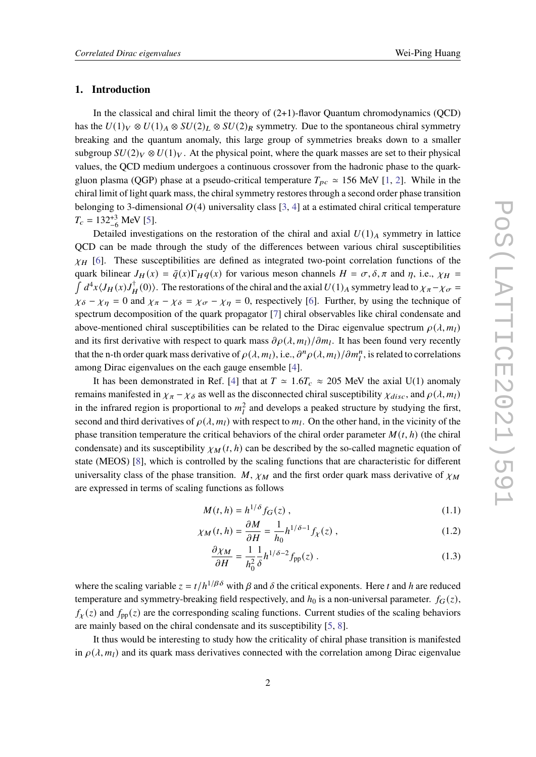## **1. Introduction**

In the classical and chiral limit the theory of  $(2+1)$ -flavor Quantum chromodynamics (QCD) has the  $U(1)_V \otimes U(1)_A \otimes SU(2)_L \otimes SU(2)_R$  symmetry. Due to the spontaneous chiral symmetry breaking and the quantum anomaly, this large group of symmetries breaks down to a smaller subgroup  $SU(2)_V \otimes U(1)_V$ . At the physical point, where the quark masses are set to their physical values, the QCD medium undergoes a continuous crossover from the hadronic phase to the quarkgluon plasma (QGP) phase at a pseudo-critical temperature  $T_{pc} \approx 156$  MeV [\[1,](#page-8-0) [2\]](#page-8-1). While in the chiral limit of light quark mass, the chiral symmetry restores through a second order phase transition belonging to 3-dimensional  $O(4)$  universality class [\[3,](#page-8-2) [4\]](#page-8-3) at a estimated chiral critical temperature  $T_c = 132^{+3}_{-6}$  MeV [\[5\]](#page-8-4).

Detailed investigations on the restoration of the chiral and axial  $U(1)_A$  symmetry in lattice QCD can be made through the study of the differences between various chiral susceptibilities  $\chi_H$  [\[6\]](#page-9-0). These susceptibilities are defined as integrated two-point correlation functions of the quark bilinear  $J_H(x) = \bar{q}(x) \Gamma_H q(x)$  for various meson channels  $H = \sigma, \delta, \pi$  and  $\eta$ , i.e.,  $\chi_H =$  $\int d^4x \langle J_H(x)J_H^{\dagger}(0)\rangle$ . The restorations of the chiral and the axial  $U(1)_A$  symmetry lead to  $\chi_{\pi}-\chi_{\sigma}=$  $\chi_{\delta} - \chi_{\eta} = 0$  and  $\chi_{\pi} - \chi_{\delta} = \chi_{\sigma} - \chi_{\eta} = 0$ , respectively [\[6\]](#page-9-0). Further, by using the technique of spectrum decomposition of the quark propagator [\[7\]](#page-9-1) chiral observables like chiral condensate and above-mentioned chiral susceptibilities can be related to the Dirac eigenvalue spectrum  $\rho(\lambda, m_l)$ and its first derivative with respect to quark mass  $\partial \rho(\lambda, m_l)/\partial m_l$ . It has been found very recently that the n-th order quark mass derivative of  $\rho(\lambda,m_l)$ , i.e.,  $\partial^n \rho(\lambda,m_l)/\partial m_l^n$ , is related to correlations among Dirac eigenvalues on the each gauge ensemble [\[4\]](#page-8-3).

It has been demonstrated in Ref. [\[4\]](#page-8-3) that at  $T \approx 1.6T_c \approx 205$  MeV the axial U(1) anomaly remains manifested in  $\chi_{\pi} - \chi_{\delta}$  as well as the disconnected chiral susceptibility  $\chi_{disc}$ , and  $\rho(\lambda, m_l)$ in the infrared region is proportional to  $m_l^2$  and develops a peaked structure by studying the first, second and third derivatives of  $\rho(\lambda, m_l)$  with respect to  $m_l$ . On the other hand, in the vicinity of the phase transition temperature the critical behaviors of the chiral order parameter  $M(t, h)$  (the chiral condensate) and its susceptibility  $\chi_M(t, h)$  can be described by the so-called magnetic equation of state (MEOS) [\[8\]](#page-9-2), which is controlled by the scaling functions that are characteristic for different universality class of the phase transition. M,  $\chi_M$  and the first order quark mass derivative of  $\chi_M$ are expressed in terms of scaling functions as follows

$$
M(t, h) = h^{1/\delta} f_G(z) , \qquad (1.1)
$$

$$
\chi_M(t, h) = \frac{\partial M}{\partial H} = \frac{1}{h_0} h^{1/\delta - 1} f_\chi(z) , \qquad (1.2)
$$

$$
\frac{\partial \chi_M}{\partial H} = \frac{1}{h_0^2} \frac{1}{\delta} h^{1/\delta - 2} f_{\rm pp}(z) \tag{1.3}
$$

where the scaling variable  $z = t/h^{1/\beta\delta}$  with  $\beta$  and  $\delta$  the critical exponents. Here t and h are reduced temperature and symmetry-breaking field respectively, and  $h_0$  is a non-universal parameter.  $f_G(z)$ ,  $f_{\chi}(z)$  and  $f_{\text{pp}}(z)$  are the corresponding scaling functions. Current studies of the scaling behaviors are mainly based on the chiral condensate and its susceptibility [\[5,](#page-8-4) [8\]](#page-9-2).

It thus would be interesting to study how the criticality of chiral phase transition is manifested in  $\rho(\lambda, m_l)$  and its quark mass derivatives connected with the correlation among Dirac eigenvalue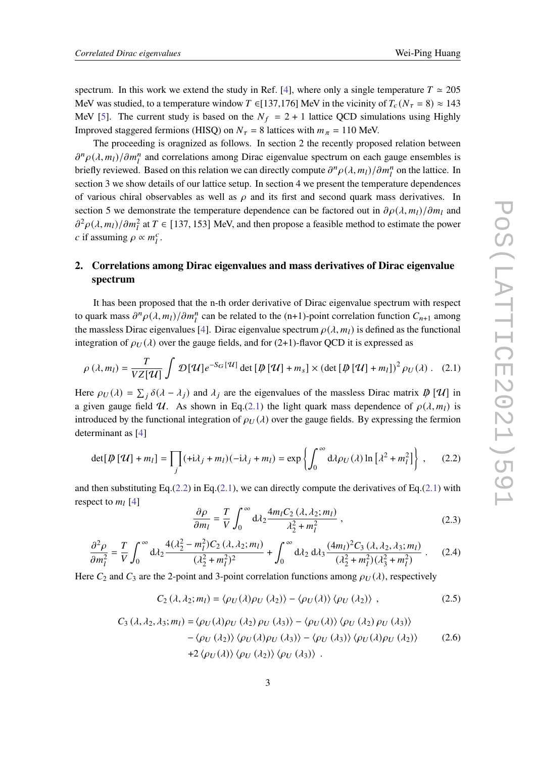spectrum. In this work we extend the study in Ref. [\[4\]](#page-8-3), where only a single temperature  $T \approx 205$ MeV was studied, to a temperature window  $T \in [137,176]$  MeV in the vicinity of  $T_c(N_\tau = 8) \approx 143$ MeV [\[5\]](#page-8-4). The current study is based on the  $N_f = 2 + 1$  lattice QCD simulations using Highly Improved staggered fermions (HISQ) on  $N_{\tau} = 8$  lattices with  $m_{\pi} = 110$  MeV.

The proceeding is oragnized as follows. In section 2 the recently proposed relation between  $\partial^n \rho(\lambda, m_l)/\partial m_l^n$  and correlations among Dirac eigenvalue spectrum on each gauge ensembles is briefly reviewed. Based on this relation we can directly compute  $\partial^n \rho(\lambda, m_l)/\partial m_l^n$  on the lattice. In section 3 we show details of our lattice setup. In section 4 we present the temperature dependences of various chiral observables as well as  $\rho$  and its first and second quark mass derivatives. In section 5 we demonstrate the temperature dependence can be factored out in  $\partial \rho(\lambda, m_1)/\partial m_1$  and  $\partial^2 \rho(\lambda, m_1)/\partial m_1^2$  at  $T \in [137, 153]$  MeV, and then propose a feasible method to estimate the power c if assuming  $\rho \propto m_l^c$ .

# **2. Correlations among Dirac eigenvalues and mass derivatives of Dirac eigenvalue spectrum**

It has been proposed that the n-th order derivative of Dirac eigenvalue spectrum with respect to quark mass  $\partial^n \rho(\lambda, m_l)/\partial m_l^n$  can be related to the (n+1)-point correlation function  $C_{n+1}$  among the massless Dirac eigenvalues [\[4\]](#page-8-3). Dirac eigenvalue spectrum  $\rho(\lambda, m_l)$  is defined as the functional integration of  $\rho_U(\lambda)$  over the gauge fields, and for (2+1)-flavor QCD it is expressed as

$$
\rho(\lambda, m_l) = \frac{T}{VZ[\mathcal{U}]} \int \mathcal{D}[\mathcal{U}] e^{-S_G[\mathcal{U}]} \det [\mathcal{D}[\mathcal{U}] + m_s] \times (\det [\mathcal{D}[\mathcal{U}] + m_l])^2 \rho_U(\lambda). \quad (2.1)
$$

Here  $\rho_U(\lambda) = \sum_i \delta(\lambda - \lambda_i)$  and  $\lambda_i$  are the eigenvalues of the massless Dirac matrix  $\phi[\mathcal{U}]$  in a given gauge field U. As shown in Eq.[\(2.1\)](#page-2-0) the light quark mass dependence of  $\rho(\lambda, m_l)$  is introduced by the functional integration of  $\rho_U(\lambda)$  over the gauge fields. By expressing the fermion determinant as [\[4\]](#page-8-3)

$$
\det[\psi[\mathcal{U}] + m_l] = \prod_j (\pm \lambda_j + m_l)(-\lambda_j + m_l) = \exp\left\{ \int_0^\infty d\lambda \rho_U(\lambda) \ln[\lambda^2 + m_l^2] \right\}, \quad (2.2)
$$

and then substituting Eq.[\(2.2\)](#page-2-1) in Eq.[\(2.1\)](#page-2-0), we can directly compute the derivatives of Eq.(2.1) with respect to  $m_l$  [\[4\]](#page-8-3)

<span id="page-2-1"></span><span id="page-2-0"></span>
$$
\frac{\partial \rho}{\partial m_l} = \frac{T}{V} \int_0^\infty d\lambda_2 \frac{4m_l C_2 (\lambda, \lambda_2; m_l)}{\lambda_2^2 + m_l^2} ,\qquad (2.3)
$$

$$
\frac{\partial^2 \rho}{\partial m_l^2} = \frac{T}{V} \int_0^\infty d\lambda_2 \frac{4(\lambda_2^2 - m_l^2) C_2(\lambda, \lambda_2; m_l)}{(\lambda_2^2 + m_l^2)^2} + \int_0^\infty d\lambda_2 d\lambda_3 \frac{(4m_l)^2 C_3(\lambda, \lambda_2, \lambda_3; m_l)}{(\lambda_2^2 + m_l^2)(\lambda_3^2 + m_l^2)} \,. \tag{2.4}
$$

Here  $C_2$  and  $C_3$  are the 2-point and 3-point correlation functions among  $\rho_U(\lambda)$ , respectively

$$
C_2(\lambda, \lambda_2; m_l) = \langle \rho_U(\lambda) \rho_U(\lambda_2) \rangle - \langle \rho_U(\lambda) \rangle \langle \rho_U(\lambda_2) \rangle , \qquad (2.5)
$$

$$
C_3(\lambda, \lambda_2, \lambda_3; m_l) = \langle \rho_U(\lambda) \rho_U(\lambda_2) \rho_U(\lambda_3) \rangle - \langle \rho_U(\lambda) \rangle \langle \rho_U(\lambda_2) \rho_U(\lambda_3) \rangle
$$
  
 
$$
- \langle \rho_U(\lambda_2) \rangle \langle \rho_U(\lambda) \rho_U(\lambda_3) \rangle - \langle \rho_U(\lambda_3) \rangle \langle \rho_U(\lambda) \rho_U(\lambda_2) \rangle \qquad (2.6)
$$
  
 
$$
+ 2 \langle \rho_U(\lambda) \rangle \langle \rho_U(\lambda_2) \rangle \langle \rho_U(\lambda_3) \rangle .
$$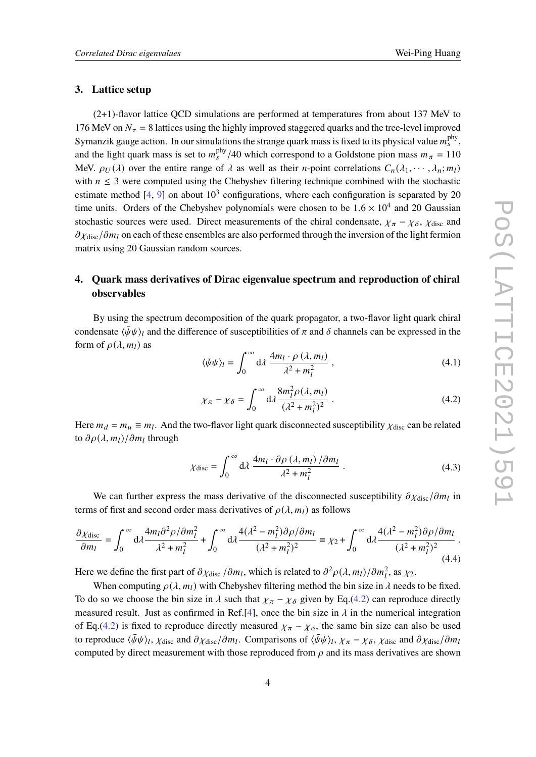### **3. Lattice setup**

(2+1)-flavor lattice QCD simulations are performed at temperatures from about 137 MeV to 176 MeV on  $N_{\tau}$  = 8 lattices using the highly improved staggered quarks and the tree-level improved Symanzik gauge action. In our simulations the strange quark mass is fixed to its physical value  $m_s^{\text{phy}}$ , and the light quark mass is set to  $m_s^{\text{phy}}/40$  which correspond to a Goldstone pion mass  $m_\pi = 110$ MeV.  $\rho_U(\lambda)$  over the entire range of  $\lambda$  as well as their *n*-point correlations  $C_n(\lambda_1, \dots, \lambda_n; m_l)$ with  $n \leq 3$  were computed using the Chebyshev filtering technique combined with the stochastic estimate method [\[4,](#page-8-3) [9\]](#page-9-3) on about  $10^3$  configurations, where each configuration is separated by 20 time units. Orders of the Chebyshev polynomials were chosen to be  $1.6 \times 10^4$  and 20 Gaussian stochastic sources were used. Direct measurements of the chiral condensate,  $\chi_{\pi} - \chi_{\delta}$ ,  $\chi_{\text{disc}}$  and  $\partial \chi_{\text{disc}}/\partial m_l$  on each of these ensembles are also performed through the inversion of the light fermion matrix using 20 Gaussian random sources.

# **4. Quark mass derivatives of Dirac eigenvalue spectrum and reproduction of chiral observables**

By using the spectrum decomposition of the quark propagator, a two-flavor light quark chiral condensate  $\langle \bar{\psi}\psi \rangle_l$  and the difference of susceptibilities of  $\pi$  and  $\delta$  channels can be expressed in the form of  $\rho(\lambda, m_l)$  as

<span id="page-3-1"></span>
$$
\langle \bar{\psi}\psi \rangle_l = \int_0^\infty d\lambda \, \frac{4m_l \cdot \rho \, (\lambda, m_l)}{\lambda^2 + m_l^2} \,, \tag{4.1}
$$

<span id="page-3-0"></span>
$$
\chi_{\pi} - \chi_{\delta} = \int_0^{\infty} d\lambda \frac{8m_l^2 \rho(\lambda, m_l)}{(\lambda^2 + m_l^2)^2} . \tag{4.2}
$$

Here  $m_d = m_u \equiv m_l$ . And the two-flavor light quark disconnected susceptibility  $\chi_{\text{disc}}$  can be related to  $\partial \rho(\lambda, m_l)/\partial m_l$  through

<span id="page-3-2"></span>
$$
\chi_{\text{disc}} = \int_0^\infty d\lambda \, \frac{4m_l \cdot \partial \rho \left(\lambda, m_l\right) / \partial m_l}{\lambda^2 + m_l^2} \,. \tag{4.3}
$$

We can further express the mass derivative of the disconnected susceptibility  $\partial \chi_{\text{disc}}/\partial m_l$  in terms of first and second order mass derivatives of  $\rho(\lambda, m_1)$  as follows

<span id="page-3-3"></span>
$$
\frac{\partial \chi_{\text{disc}}}{\partial m_l} = \int_0^\infty \mathrm{d}\lambda \frac{4m_l \partial^2 \rho / \partial m_l^2}{\lambda^2 + m_l^2} + \int_0^\infty \mathrm{d}\lambda \frac{4(\lambda^2 - m_l^2) \partial \rho / \partial m_l}{(\lambda^2 + m_l^2)^2} \equiv \chi_2 + \int_0^\infty \mathrm{d}\lambda \frac{4(\lambda^2 - m_l^2) \partial \rho / \partial m_l}{(\lambda^2 + m_l^2)^2} \,. \tag{4.4}
$$

Here we define the first part of  $\partial \chi_{\text{disc}}/ \partial m_l$ , which is related to  $\partial^2 \rho(\lambda, m_l)/ \partial m_l^2$ , as  $\chi_2$ .

When computing  $\rho(\lambda, m_l)$  with Chebyshev filtering method the bin size in  $\lambda$  needs to be fixed. To do so we choose the bin size in  $\lambda$  such that  $\chi_{\pi} - \chi_{\delta}$  given by Eq.[\(4.2\)](#page-3-0) can reproduce directly measured result. Just as confirmed in Ref.[\[4\]](#page-8-3), once the bin size in  $\lambda$  in the numerical integration of Eq.[\(4.2\)](#page-3-0) is fixed to reproduce directly measured  $\chi_{\pi} - \chi_{\delta}$ , the same bin size can also be used to reproduce  $\langle \bar{\psi}\psi \rangle_l$ ,  $\chi_{\text{disc}}$  and  $\partial \chi_{\text{disc}}/\partial m_l$ . Comparisons of  $\langle \bar{\psi}\psi \rangle_l$ ,  $\chi_{\pi} - \chi_{\delta}$ ,  $\chi_{\text{disc}}$  and  $\partial \chi_{\text{disc}}/\partial m_l$ computed by direct measurement with those reproduced from  $\rho$  and its mass derivatives are shown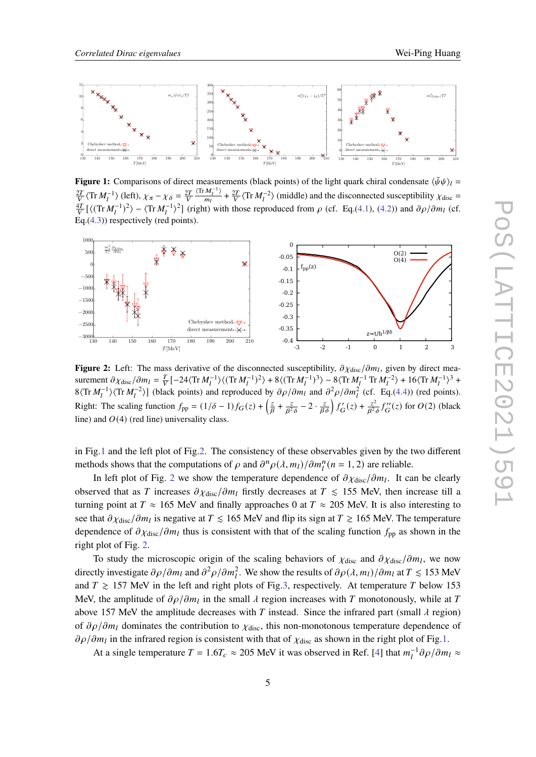<span id="page-4-0"></span>

**Figure 1:** Comparisons of direct measurements (black points) of the light quark chiral condensate  $\langle \bar{\psi}\psi \rangle_l =$  $\frac{2T}{V}$   $\langle \text{Tr} M_l^{-1} \rangle$  (left),  $\chi_{\pi} - \chi_{\delta} = \frac{2T}{V}$  $\langle \text{Tr} M_l^{-1} \rangle$  $\frac{M_l^{-1}}{m_l}$  +  $\frac{2T}{V}$   $\langle$  Tr  $M_l^{-2}$  $\rangle$  (middle) and the disconnected susceptibility  $\chi$ <sub>disc</sub> =  $\frac{4T}{V}$  [ $\langle$ (Tr  $M_l^{-1}$ )<sup>2</sup>) –  $\langle$ Tr  $M_l^{-1}$ )<sup>2</sup>] (right) with those reproduced from  $\rho$  (cf. Eq.[\(4.1\)](#page-3-1), [\(4.2\)](#page-3-0)) and  $\partial \rho / \partial m_l$  (cf. Eq.[\(4.3\)](#page-3-2)) respectively (red points).

<span id="page-4-1"></span>

**Figure 2:** Left: The mass derivative of the disconnected susceptibility,  $\partial \chi_{\text{disc}}/\partial m_l$ , given by direct measurement  $\partial \chi_{\text{disc}}/\partial m_l = \frac{T}{V} \left[ -24 \langle \text{Tr} M_l^{-1} \rangle \langle (\text{Tr} M_l^{-1})^2 \rangle + 8 \langle (\text{Tr} M_l^{-1})^3 \rangle - 8 \langle \text{Tr} M_l^{-1} \text{Tr} M_l^{-2} \rangle + 16 \langle \text{Tr} M_l^{-1} \rangle^3 +$  $8\langle \text{Tr } M_l^{-1} \rangle \langle \text{Tr } M_l^{-2} \rangle$ ] (black points) and reproduced by  $\partial \rho / \partial m_l$  and  $\partial^2 \rho / \partial m_l^2$  (cf. Eq.[\(4.4\)](#page-3-3)) (red points). Right: The scaling function  $f_{\text{pp}} = (1/\delta - 1)f_G(z) + \left(\frac{z}{\beta} + \frac{z}{\beta^2}\right)$  $\frac{z}{\beta^2 \delta} - 2 \cdot \frac{z}{\beta \delta} \int f'_{\mathbf{G}}(z) + \frac{z^2}{\beta^2}$  $\frac{z^2}{\beta^2 \delta} f''_G(z)$  for  $O(2)$  (black line) and  $O(4)$  (red line) universality class.

in Fig[.1](#page-4-0) and the left plot of Fig[.2.](#page-4-1) The consistency of these observables given by the two different methods shows that the computations of  $\rho$  and  $\partial^n \rho(\lambda, m_l)/\partial m_l^n$  ( $n = 1, 2$ ) are reliable.

In left plot of Fig. [2](#page-4-1) we show the temperature dependence of  $\partial \chi_{\text{disc}}/\partial m_l$ . It can be clearly observed that as T increases  $\partial \chi_{\text{disc}}/\partial m_l$  firstly decreases at  $T \leq 155$  MeV, then increase till a turning point at  $T \approx 165$  MeV and finally approaches 0 at  $T \approx 205$  MeV. It is also interesting to see that  $\partial \chi_{\text{disc}}/\partial m_l$  is negative at  $T \leq 165$  MeV and flip its sign at  $T \geq 165$  MeV. The temperature dependence of  $\partial \chi_{\text{disc}}/\partial m_l$  thus is consistent with that of the scaling function  $f_{\text{pp}}$  as shown in the right plot of Fig. [2.](#page-4-1)

To study the microscopic origin of the scaling behaviors of  $\chi_{\text{disc}}$  and  $\partial \chi_{\text{disc}}/\partial m_l$ , we now directly investigate  $\partial \rho/\partial m_l$  and  $\partial^2 \rho/\partial m_l^2$ . We show the results of  $\partial \rho(\lambda, m_l)/\partial m_l$  at  $T \le 153$  MeV and  $T \ge 157$  MeV in the left and right plots of Fig[.3,](#page-5-0) respectively. At temperature T below 153 MeV, the amplitude of  $\partial \rho / \partial m_l$  in the small  $\lambda$  region increases with T monotonously, while at T above 157 MeV the amplitude decreases with T instead. Since the infrared part (small  $\lambda$  region) of  $\partial \rho / \partial m_l$  dominates the contribution to  $\chi_{\text{disc}}$ , this non-monotonous temperature dependence of  $\partial \rho / \partial m_l$  in the infrared region is consistent with that of  $\chi_{\text{disc}}$  as shown in the right plot of Fig[.1.](#page-4-0)

At a single temperature  $T = 1.6T_c \approx 205$  MeV it was observed in Ref. [\[4\]](#page-8-3) that  $m_l^{-1} \partial \rho / \partial m_l \approx$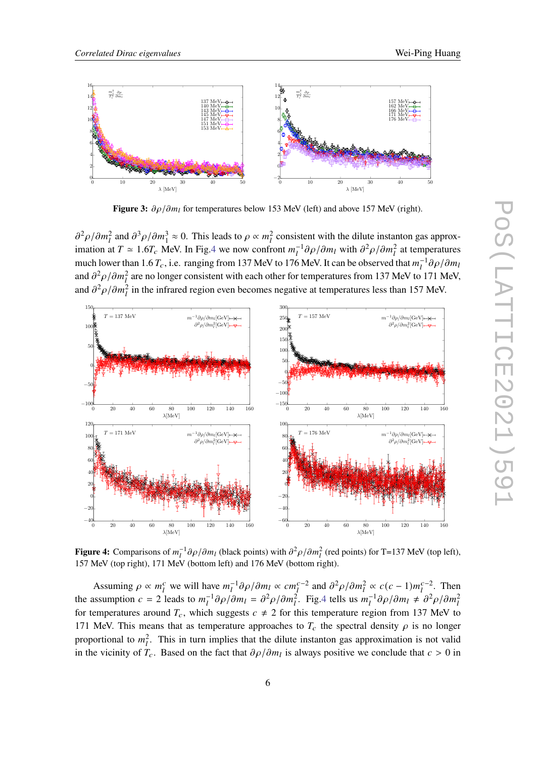<span id="page-5-0"></span>

**Figure 3:**  $\partial \rho / \partial m_l$  for temperatures below 153 MeV (left) and above 157 MeV (right).

 $\partial^2 \rho / \partial m_l^2$  and  $\partial^3 \rho / \partial m_l^3 \approx 0$ . This leads to  $\rho \propto m_l^2$  consistent with the dilute instanton gas approximation at  $T \approx 1.6T_c$  MeV. In Fig[.4](#page-5-1) we now confront  $m_l^{-1} \partial \rho / \partial m_l$  with  $\partial^2 \rho / \partial m_l^2$  at temperatures much lower than 1.6  $T_c$ , i.e. ranging from 137 MeV to 176 MeV. It can be observed that  $m_l^{-1}\partial\rho/\partial m_l$ and  $\partial^2 \rho / \partial m_l^2$  are no longer consistent with each other for temperatures from 137 MeV to 171 MeV, and  $\partial^2 \rho / \partial m_l^2$  in the infrared region even becomes negative at temperatures less than 157 MeV.

<span id="page-5-1"></span>

**Figure 4:** Comparisons of  $m_l^{-1}\partial\rho/\partial m_l$  (black points) with  $\partial^2\rho/\partial m_l^2$  (red points) for T=137 MeV (top left), 157 MeV (top right), 171 MeV (bottom left) and 176 MeV (bottom right).

Assuming  $\rho \propto m_l^c$  we will have  $m_l^{-1} \partial \rho / \partial m_l \propto c m_l^{c-2}$  and  $\partial^2 \rho / \partial m_l^2 \propto c(c-1) m_l^{c-2}$ . Then the assumption  $c = 2$  leads to  $m_l^{-1} \partial \rho / \partial m_l = \partial^2 \rho / \partial m_l^2$ . Fig. 4 tells us  $m_l^{-1} \partial \rho / \partial m_l \neq \partial^2 \rho / \partial m_l^2$ for temperatures around  $T_c$ , which suggests  $c \neq 2$  for this temperature region from 137 MeV to 171 MeV. This means that as temperature approaches to  $T_c$  the spectral density  $\rho$  is no longer proportional to  $m_l^2$ . This in turn implies that the dilute instanton gas approximation is not valid in the vicinity of  $T_c$ . Based on the fact that  $\partial \rho / \partial m_l$  is always positive we conclude that  $c > 0$  in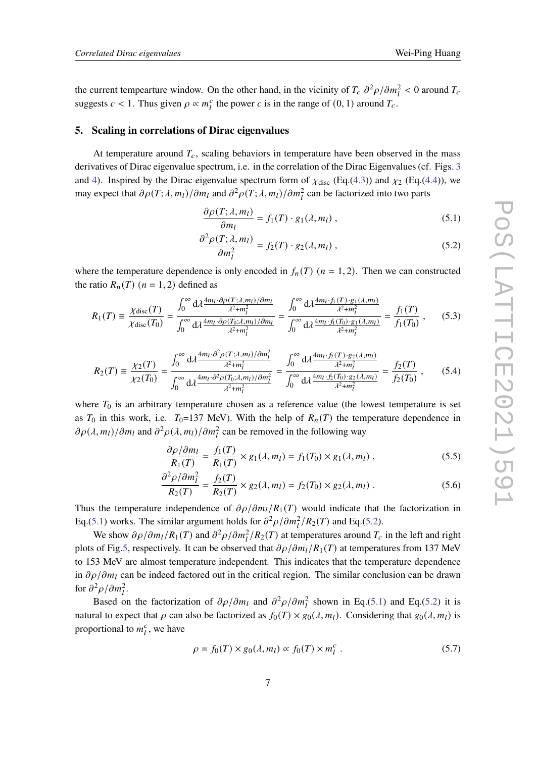the current tempearture window. On the other hand, in the vicinity of  $T_c \frac{\partial^2 \rho}{\partial m_l^2} < 0$  around  $T_c$ suggests  $c < 1$ . Thus given  $\rho \propto m_l^c$  the power c is in the range of  $(0, 1)$  around  $T_c$ .

#### **5. Scaling in correlations of Dirac eigenvalues**

At temperature around  $T_c$ , scaling behaviors in temperature have been observed in the mass derivatives of Dirac eigenvalue spectrum, i.e. in the correlation of the Dirac Eigenvalues (cf. Figs. [3](#page-5-0) and [4\)](#page-5-1). Inspired by the Dirac eigenvalue spectrum form of  $\chi_{disc}$  (Eq.[\(4.3\)](#page-3-2)) and  $\chi_2$  (Eq.[\(4.4\)](#page-3-3)), we may expect that  $\partial \rho(T; \lambda, m_l)/\partial m_l$  and  $\partial^2 \rho(T; \lambda, m_l)/\partial m_l^2$  can be factorized into two parts

<span id="page-6-1"></span><span id="page-6-0"></span>
$$
\frac{\partial \rho(T; \lambda, m_l)}{\partial m_l} = f_1(T) \cdot g_1(\lambda, m_l), \qquad (5.1)
$$

$$
\frac{\partial^2 \rho(T; \lambda, m_l)}{\partial m_l^2} = f_2(T) \cdot g_2(\lambda, m_l) , \qquad (5.2)
$$

where the temperature dependence is only encoded in  $f_n(T)$  ( $n = 1, 2$ ). Then we can constructed the ratio  $R_n(T)$  ( $n = 1, 2$ ) defined as

$$
R_1(T) = \frac{\chi_{\text{disc}}(T)}{\chi_{\text{disc}}(T_0)} = \frac{\int_0^\infty d\lambda \frac{4m_l \cdot \partial \rho(T; \lambda, m_l)/\partial m_l}{\lambda^2 + m_l^2}}{\int_0^\infty d\lambda \frac{4m_l \cdot \partial \rho(T_0; \lambda, m_l)/\partial m_l}{\lambda^2 + m_l^2}} = \frac{\int_0^\infty d\lambda \frac{4m_l \cdot f_1(T) \cdot g_1(\lambda, m_l)}{\lambda^2 + m_l^2}}{\int_0^\infty d\lambda \frac{4m_l \cdot f_1(T_0) \cdot g_1(\lambda, m_l)}{\lambda^2 + m_l^2}} = \frac{f_1(T)}{f_1(T_0)},
$$
(5.3)

$$
R_2(T) = \frac{\chi_2(T)}{\chi_2(T_0)} = \frac{\int_0^\infty d\lambda \frac{4m_l \cdot \partial^2 \rho(T;\lambda,m_l)/\partial m_l^2}{\lambda^2 + m_l^2}}{\int_0^\infty d\lambda \frac{4m_l \cdot \partial^2 \rho(T_0;\lambda,m_l)/\partial m_l^2}{\lambda^2 + m_l^2}} = \frac{\int_0^\infty d\lambda \frac{4m_l \cdot f_2(T) \cdot g_2(\lambda,m_l)}{\lambda^2 + m_l^2}}{\int_0^\infty d\lambda \frac{4m_l \cdot f_2(T_0) \cdot g_2(\lambda,m_l)}{\lambda^2 + m_l^2}} = \frac{f_2(T)}{f_2(T_0)},\tag{5.4}
$$

where  $T_0$  is an arbitrary temperature chosen as a reference value (the lowest temperature is set as  $T_0$  in this work, i.e.  $T_0=137$  MeV). With the help of  $R_n(T)$  the temperature dependence in  $\partial \rho(\lambda, m_l)/\partial m_l$  and  $\partial^2 \rho(\lambda, m_l)/\partial m_l^2$  can be removed in the following way

<span id="page-6-3"></span><span id="page-6-2"></span>
$$
\frac{\partial \rho/\partial m_l}{R_1(T)} = \frac{f_1(T)}{R_1(T)} \times g_1(\lambda, m_l) = f_1(T_0) \times g_1(\lambda, m_l), \qquad (5.5)
$$

$$
\frac{\partial^2 \rho / \partial m_l^2}{R_2(T)} = \frac{f_2(T)}{R_2(T)} \times g_2(\lambda, m_l) = f_2(T_0) \times g_2(\lambda, m_l) . \tag{5.6}
$$

Thus the temperature independence of  $\partial \rho / \partial m_l / R_1(T)$  would indicate that the factorization in Eq.[\(5.1\)](#page-6-0) works. The similar argument holds for  $\partial^2 \rho / \partial m_l^2 / R_2(T)$  and Eq.[\(5.2\)](#page-6-1).

We show  $\partial \rho / \partial m_l / R_1(T)$  and  $\partial^2 \rho / \partial m_l^2 / R_2(T)$  at temperatures around  $T_c$  in the left and right plots of Fig[.5,](#page-7-0) respectively. It can be observed that  $\partial \rho / \partial m_l / R_1(T)$  at temperatures from 137 MeV to 153 MeV are almost temperature independent. This indicates that the temperature dependence in  $\partial \rho / \partial m_l$  can be indeed factored out in the critical region. The similar conclusion can be drawn for  $\partial^2 \rho / \partial m_l^2$ .

Based on the factorization of  $\partial \rho / \partial m_l$  and  $\partial^2 \rho / \partial m_l^2$  shown in Eq.[\(5.1\)](#page-6-0) and Eq.[\(5.2\)](#page-6-1) it is natural to expect that  $\rho$  can also be factorized as  $f_0(T) \times g_0(\lambda, m_l)$ . Considering that  $g_0(\lambda, m_l)$  is proportional to  $m_l^c$ , we have

$$
\rho = f_0(T) \times g_0(\lambda, m_l) \propto f_0(T) \times m_l^c \tag{5.7}
$$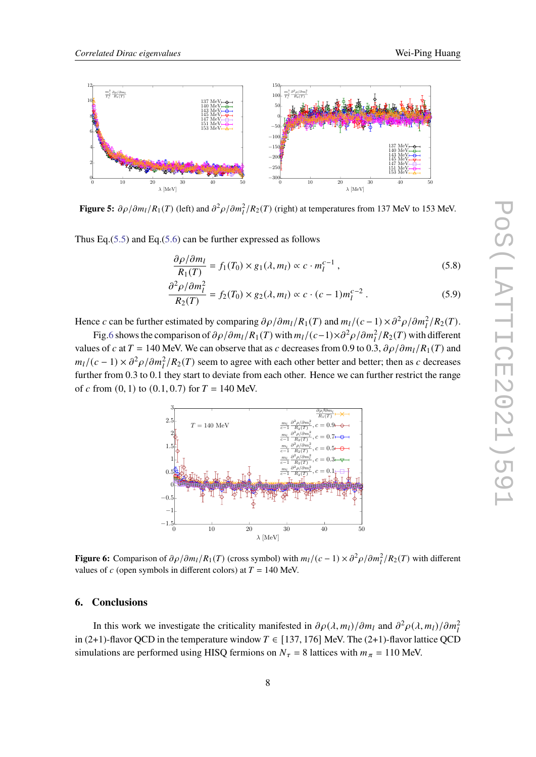<span id="page-7-0"></span>

**Figure 5:**  $\partial \rho / \partial m_l / R_1(T)$  (left) and  $\partial^2 \rho / \partial m_l^2 / R_2(T)$  (right) at temperatures from 137 MeV to 153 MeV.

Thus Eq.[\(5.5\)](#page-6-2) and Eq.[\(5.6\)](#page-6-3) can be further expressed as follows

$$
\frac{\partial \rho/\partial m_l}{R_1(T)} = f_1(T_0) \times g_1(\lambda, m_l) \propto c \cdot m_l^{c-1},\tag{5.8}
$$

$$
\frac{\partial^2 \rho / \partial m_l^2}{R_2(T)} = f_2(T_0) \times g_2(\lambda, m_l) \propto c \cdot (c - 1) m_l^{c - 2} \,. \tag{5.9}
$$

Hence c can be further estimated by comparing  $\partial \rho / \partial m_l / R_1(T)$  and  $m_l / (c - 1) \times \partial^2 \rho / \partial m_l^2 / R_2(T)$ .

<span id="page-7-1"></span>Fig[.6](#page-7-1) shows the comparison of  $\partial \rho / \partial m_l / R_1(T)$  with  $m_l / (c-1) \times \partial^2 \rho / \partial m_l^2 / R_2(T)$  with different values of c at  $T = 140$  MeV. We can observe that as c decreases from 0.9 to 0.3,  $\partial \rho / \partial m_l / R_1(T)$  and  $m_l/(c-1) \times \partial^2 \rho / \partial m_l^2 / R_2(T)$  seem to agree with each other better and better; then as c decreases further from 0.3 to 0.1 they start to deviate from each other. Hence we can further restrict the range of c from  $(0, 1)$  to  $(0.1, 0.7)$  for  $T = 140$  MeV.



**Figure 6:** Comparison of  $\partial \rho / \partial m_l / R_1(T)$  (cross symbol) with  $m_l / (c - 1) \times \partial^2 \rho / \partial m_l^2 / R_2(T)$  with different values of  $c$  (open symbols in different colors) at  $T = 140$  MeV.

### **6. Conclusions**

In this work we investigate the criticality manifested in  $\partial \rho(\lambda, m_l)/\partial m_l$  and  $\partial^2 \rho(\lambda, m_l)/\partial m_l^2$ in (2+1)-flavor QCD in the temperature window  $T \in [137, 176]$  MeV. The (2+1)-flavor lattice QCD simulations are performed using HISQ fermions on  $N_{\tau} = 8$  lattices with  $m_{\pi} = 110$  MeV.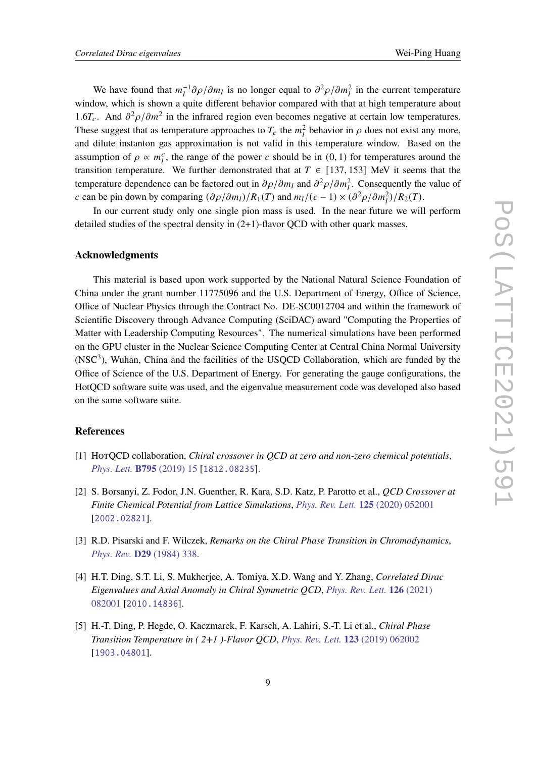We have found that  $m_l^{-1}\partial \rho/\partial m_l$  is no longer equal to  $\partial^2 \rho/\partial m_l^2$  in the current temperature window, which is shown a quite different behavior compared with that at high temperature about 1.6 $T_c$ . And  $\partial^2 \rho / \partial m^2$  in the infrared region even becomes negative at certain low temperatures. These suggest that as temperature approaches to  $T_c$  the  $m_l^2$  behavior in  $\rho$  does not exist any more, and dilute instanton gas approximation is not valid in this temperature window. Based on the assumption of  $\rho \propto m_l^c$ , the range of the power c should be in  $(0, 1)$  for temperatures around the transition temperature. We further demonstrated that at  $T \in [137, 153]$  MeV it seems that the temperature dependence can be factored out in  $\partial \rho / \partial m_l$  and  $\partial^2 \rho / \partial m_l^2$ . Consequently the value of c can be pin down by comparing  $(\partial \rho/\partial m_l)/R_1(T)$  and  $m_l/(c-1) \times (\partial^2 \rho/\partial m_l^2)/R_2(T)$ .

In our current study only one single pion mass is used. In the near future we will perform detailed studies of the spectral density in  $(2+1)$ -flavor OCD with other quark masses.

## **Acknowledgments**

This material is based upon work supported by the National Natural Science Foundation of China under the grant number 11775096 and the U.S. Department of Energy, Office of Science, Office of Nuclear Physics through the Contract No. DE-SC0012704 and within the framework of Scientific Discovery through Advance Computing (SciDAC) award "Computing the Properties of Matter with Leadership Computing Resources". The numerical simulations have been performed on the GPU cluster in the Nuclear Science Computing Center at Central China Normal University  $(NSC<sup>3</sup>)$ . Wuhan, China and the facilities of the USOCD Collaboration, which are funded by the Office of Science of the U.S. Department of Energy. For generating the gauge configurations, the HotQCD software suite was used, and the eigenvalue measurement code was developed also based on the same software suite.

## **References**

- <span id="page-8-0"></span>[1] HotQCD collaboration, *Chiral crossover in QCD at zero and non-zero chemical potentials*, *[Phys. Lett.](https://doi.org/10.1016/j.physletb.2019.05.013)* **B795** (2019) 15 [[1812.08235](https://arxiv.org/abs/1812.08235)].
- <span id="page-8-1"></span>[2] S. Borsanyi, Z. Fodor, J.N. Guenther, R. Kara, S.D. Katz, P. Parotto et al., *QCD Crossover at Finite Chemical Potential from Lattice Simulations*, *[Phys. Rev. Lett.](https://doi.org/10.1103/PhysRevLett.125.052001)* **125** (2020) 052001 [[2002.02821](https://arxiv.org/abs/2002.02821)].
- <span id="page-8-2"></span>[3] R.D. Pisarski and F. Wilczek, *Remarks on the Chiral Phase Transition in Chromodynamics*, *[Phys. Rev.](https://doi.org/10.1103/PhysRevD.29.338)* **D29** (1984) 338.
- <span id="page-8-3"></span>[4] H.T. Ding, S.T. Li, S. Mukherjee, A. Tomiya, X.D. Wang and Y. Zhang, *Correlated Dirac Eigenvalues and Axial Anomaly in Chiral Symmetric QCD*, *[Phys. Rev. Lett.](https://doi.org/10.1103/PhysRevLett.126.082001)* **126** (2021) [082001](https://doi.org/10.1103/PhysRevLett.126.082001) [[2010.14836](https://arxiv.org/abs/2010.14836)].
- <span id="page-8-4"></span>[5] H.-T. Ding, P. Hegde, O. Kaczmarek, F. Karsch, A. Lahiri, S.-T. Li et al., *Chiral Phase Transition Temperature in ( 2+1 )-Flavor QCD*, *[Phys. Rev. Lett.](https://doi.org/10.1103/PhysRevLett.123.062002)* **123** (2019) 062002 [[1903.04801](https://arxiv.org/abs/1903.04801)].